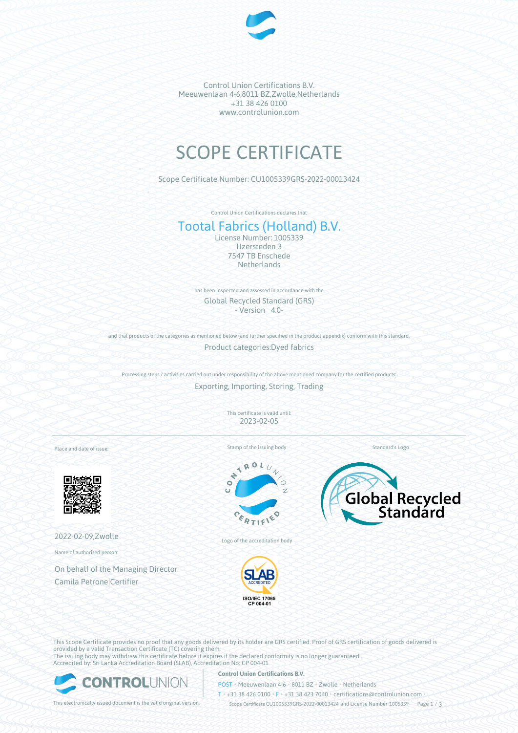

Control Union Certifications B.V. Meeuwenlaan 4-6,8011 BZ,Zwolle,Netherlands +31 38 426 0100 www.controlunion.com

# SCOPE CERTIFICATE

Scope Certificate Number: CU1005339GRS-2022-00013424

Control Union Certifications declares that

# Tootal Fabrics (Holland) B.V.

License Number: 1005339 IJzersteden 3 7547 TB Enschede **Netherlands** 

has been inspected and assessed in accordance with the Global Recycled Standard (GRS) - Version 4.0-

and that products of the categories as mentioned below (and further specified in the product appendix) conform with this standard. Product categories:Dyed fabrics

Processing steps / activities carried out under responsibility of the above mentioned company for the certified products:

Exporting, Importing, Storing, Trading

This certificate is valid until: 2023-02-05

Place and date of issue:



2022-02-09,Zwolle

Name of authorised person:

On behalf of the Managing Director Camila Petrone|Certifier

Stamp of the issuing body

 $\overline{\mathbf{A}}$  $x_0$  $\overline{c}$ 





ISO/IEC 17065<br>CP 004-01

Logo of the accreditation body

This Scope Certificate provides no proof that any goods delivered by its holder are GRS certified. Proof of GRS certification of goods delivered is provided by a valid Transaction Certificate (TC) covering them. The issuing body may withdraw this certificate before it expires if the declared conformity is no longer guaranteed. Accredited by: Sri Lanka Accreditation Board (SLAB), Accreditation No: CP 004-01



## **Control Union Certifications B.V.**

POST • Meeuwenlaan 4-6 • 8011 BZ • Zwolle • Netherlands

T • +31 38 426 0100 • F • +31 38 423 7040 • certifications@controlunion.com •

This electronically issued document is the valid original version. Scope Certificate CU1005339GRS-2022-00013424 and License Number 1005339 Page 1 / 3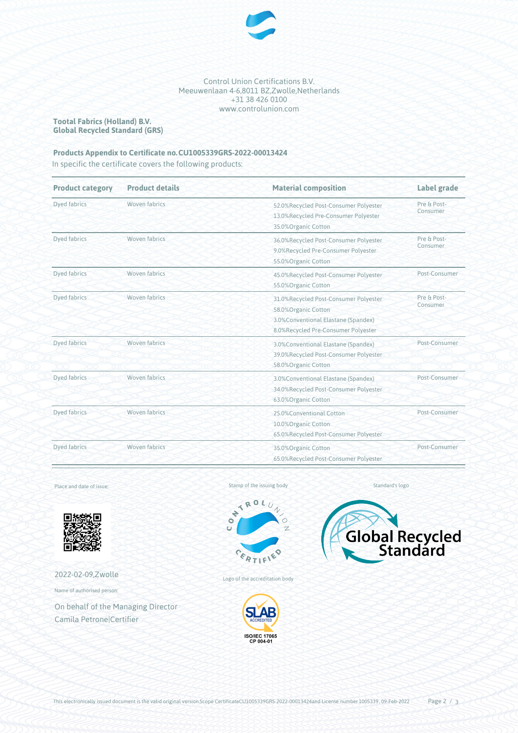

Control Union Certifications B.V. Meeuwenlaan 4-6,8011 BZ,Zwolle,Netherlands +31 38 426 0100 www.controlunion.com

**Tootal Fabrics (Holland) B.V. Global Recycled Standard (GRS)**

# **Products Appendix to Certificate no.CU1005339GRS-2022-00013424**

In specific the certificate covers the following products:

| <b>Product category</b> | <b>Product details</b> | <b>Material composition</b>                                                                                                                 | Label grade             |
|-------------------------|------------------------|---------------------------------------------------------------------------------------------------------------------------------------------|-------------------------|
| Dyed fabrics            | Woven fabrics          | 52.0%Recycled Post-Consumer Polyester<br>13.0%Recycled Pre-Consumer Polyester<br>35.0%Organic Cotton                                        | Pre & Post-<br>Consumer |
| <b>Dyed fabrics</b>     | Woven fabrics          | 36.0%Recycled Post-Consumer Polyester<br>9.0%Recycled Pre-Consumer Polyester<br>55.0%Organic Cotton                                         | Pre & Post-<br>Consumer |
| Dyed fabrics            | <b>Woven fabrics</b>   | 45.0%Recycled Post-Consumer Polyester<br>55.0%Organic Cotton                                                                                | Post-Consumer           |
| Dyed fabrics            | Woven fabrics          | 31.0%Recycled Post-Consumer Polyester<br>58.0%Organic Cotton<br>3.0% Conventional Elastane (Spandex)<br>8.0%Recycled Pre-Consumer Polyester | Pre & Post-<br>Consumer |
| Dyed fabrics            | Woven fabrics          | 3.0% Conventional Elastane (Spandex)<br>39.0%Recycled Post-Consumer Polyester<br>58.0% Organic Cotton                                       | Post-Consumer           |
| Dyed fabrics            | Woven fabrics          | Post-Consumer<br>3.0% Conventional Elastane (Spandex)<br>34.0%Recycled Post-Consumer Polyester<br>63.0%Organic Cotton                       |                         |
| Dyed fabrics            | Woven fabrics          | 25.0%Conventional Cotton<br>10.0%Organic Cotton<br>65.0%Recycled Post-Consumer Polyester                                                    | Post-Consumer           |
| Dyed fabrics            | Woven fabrics          | 35.0%Organic Cotton<br>65.0%Recycled Post-Consumer Polyester                                                                                | Post-Consumer           |

Place and date of issue:



2022-02-09,Zwolle

Name of authorised person:

On behalf of the Managing Director Camila Petrone|Certifier

Stamp of the issuing body<br> $\overrightarrow{R} \overrightarrow{R} \overrightarrow{U}$ 





Standard's logo



Logo of the accreditation body

ERTIE

è